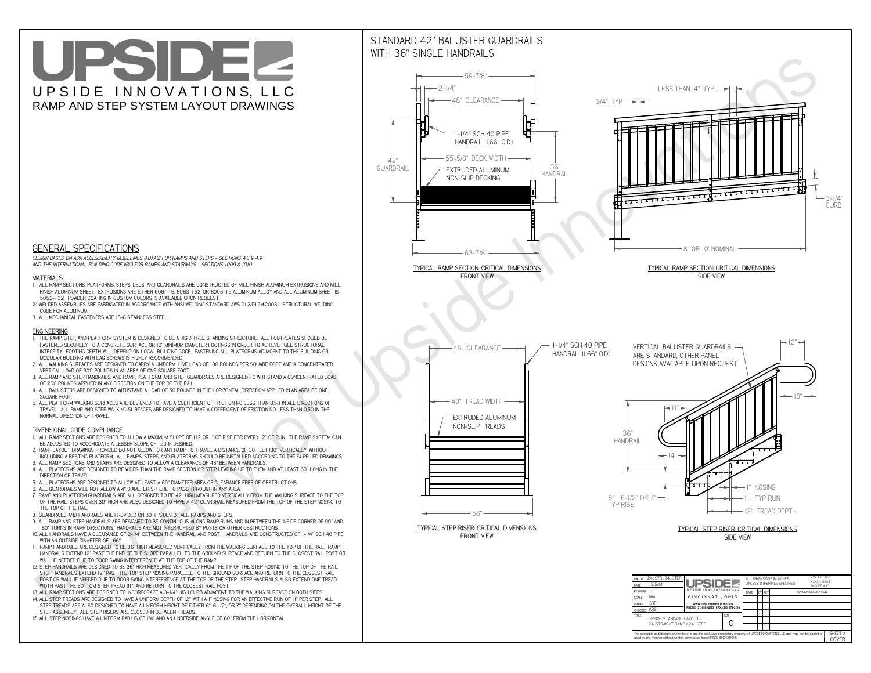# UPSIDEL UPSIDE INNOVATIONS, LLC RAMP AND STEP SYSTEM LAYOUT DRAWINGS



 *DESIGN BASED ON ADA ACCESSIBILITY GUIDELINES (ADAAG) FOR RAMPS AND STEPS - SECTIONS 4.8 & 4.9AND THE INTERNATIONAL BUILDING CODE (IBC) FOR RAMPS AND STAIRWAYS - SECTIONS 1009 & 1010*

#### **MATERIALS**

- **1. ALL RAMP SECTIONS, PLATFORMS, STEPS, LEGS, AND GUARDRAILS ARE CONSTRUCTED OF MILL FINISH ALUMINUM EXTRUSIONS AND MILL FINISH ALUMINUM SHEET. EXTRUSIONS ARE EITHER 6061-T6, 6063-T52, OR 6005-T5 ALUMINUM ALLOY AND ALL ALUMINUM SHEET IS 5052-H32. POWDER COATING IN CUSTOM COLORS IS AVAILABLE UPON REQUEST.**
- **2. WELDED ASSEMBLIES ARE FABRICATED IN ACCORDANCE WITH ANSI WELDING STANDARD AWS D1.2/D1.2M:2003 STRUCTURAL WELDING CODE FOR ALUMINUM.**
- **3. ALL MECHANICAL FASTENERS ARE 18-8 STAINLESS STEEL.**

#### **ENGINEERING**

- **1. THE RAMP, STEP, AND PLATFORM SYSTEM IS DESIGNED TO BE A RIGID, FREE STANDING STRUCTURE. ALL FOOTPLATES SHOULD BE FASTENED SECURELY TO A CONCRETE SURFACE OR 12" MINIMUM DIAMETER FOOTINGS IN ORDER TO ACHIEVE FULL STRUCTURAL INTEGRITY. FOOTING DEPTH WILL DEPEND ON LOCAL BUILDING CODE. FASTENING ALL PLATFORMS ADJACENT TO THE BUILDING OR MODULAR BUILDING WITH LAG SCREWS IS HIGHLY RECOMMENDED.**
- **2. ALL WALKING SURFACES ARE DESIGNED TO CARRY A UNIFORM LIVE LOAD OF 100 POUNDS PER SQUARE FOOT AND A CONCENTRATED VERTICAL LOAD OF 300 POUNDS IN AN AREA OF ONE SQUARE FOOT.**
- **3. ALL RAMP AND STEP HANDRAILS, AND RAMP, PLATFORM, AND STEP GUARDRAILS ARE DESIGNED TO WITHSTAND A CONCENTRATED LOAD OF 200 POUNDS APPLIED IN ANY DIRECTION ON THE TOP OF THE RAIL.**
- **4. ALL BALUSTERS ARE DESIGNED TO WITHSTAND A LOAD OF 50 POUNDS IN THE HORIZONTAL DIRECTION APPLIED IN AN AREA OF ONE SQUARE FOOT.**
- **5. ALL PLATFORM WALKING SURFACES ARE DESIGNED TO HAVE A COEFFICIENT OF FRICTION NO LESS THAN 0.50 IN ALL DIRECTIONS OF TRAVEL. ALL RAMP AND STEP WALKING SURFACES ARE DESIGNED TO HAVE A COEFFICIENT OF FRICTION NO LESS THAN 0.50 IN THE NORMAL DIRECTION OF TRAVEL.**

### **DIMENSIONAL CODE COMPLIANCE**



- **1. ALL RAMP SECTIONS ARE DESIGNED TO ALLOW A MAXIMUM SLOPE OF 1:12 OR 1" OF RISE FOR EVERY 12" OF RUN. THE RAMP SYSTEM CAN BE ADJUSTED TO ACCOMODATE A LESSER SLOPE OF 1:20 IF DESIRED.**
- **2. RAMP LAYOUT DRAWINGS PROVIDED DO NOT ALLOW FOR ANY RAMP TO TRAVEL A DISTANCE OF 30 FEET (30" VERTICALLY) WITHOUT INCLUDING A RESTING PLATFORM. ALL RAMPS, STEPS, AND PLATFORMS SHOULD BE INSTALLED ACCORDING TO THE SUPPLIED DRAWINGS.**
- **3. ALL RAMP SECTIONS AND STAIRS ARE DESIGNED TO ALLOW A CLEARANCE OF 48" BETWEEN HANDRAILS.**
- **4. ALL PLATFORMS ARE DESIGNED TO BE WIDER THAN THE RAMP SECTION OR STEP LEADING UP TO THEM AND AT LEAST 60" LONG IN THE DIRECTION OF TRAVEL.**
- **5. ALL PLATFORMS ARE DESIGNED TO ALLOW AT LEAST A 60" DIAMETER AREA OF CLEARANCE FREE OF OBSTRUCTIONS.**
- **6. ALL GUARDRAILS WILL NOT ALLOW A 4" DIAMETER SPHERE TO PASS THROUGH IN ANY AREA.**
- **7. RAMP AND PLATFORM GUARDRAILS ARE ALL DESIGNED TO BE 42" HIGH MEASURED VERTICALLY FROM THE WALKING SURFACE TO THE TOP OF THE RAIL. STEPS OVER 30" HIGH ARE ALSO DESIGNED TO HAVE A 42" GUARDRAIL MEASURED FROM THE TOP OF THE STEP NOSING TO THE TOP OF THE RAIL.**
- **8. GUARDRAILS AND HANDRAILS ARE PROVIDED ON BOTH SIDES OF ALL RAMPS AND STEPS.**
- **9. ALL RAMP AND STEP HANDRAILS ARE DESIGNED TO BE CONTINUOUS ALONG RAMP RUNS AND IN BETWEEN THE INSIDE CORNER OF 90° AND 180° TURNS IN RAMP DIRECTIONS. HANDRAILS ARE NOT INTERRUPTED BY POSTS OR OTHER OBSTRUCTIONS.**
- **10. ALL HANDRAILS HAVE A CLEARANCE OF 2-1/4" BETWEEN THE HANDRAIL AND POST. HANDRAILS ARE CONSTRUCTED OF 1-1/4" SCH 40 PIPE WITH AN OUTSIDE DIAMETER OF 1.66"**
- **11. RAMP HANDRAILS ARE DESIGNED TO BE 36" HIGH MEASURED VERTICALLY FROM THE WALKING SURFACE TO THE TOP OF THE RAIL. RAMP HANDRAILS EXTEND 12" PAST THE END OF THE SLOPE PARALLEL TO THE GROUND SURFACE AND RETURN TO THE CLOSEST RAIL POST OR WALL IF NEEDED DUE TO DOOR SWING INTERFERENCE AT THE TOP OF THE RAMP.**
- **12. STEP HANDRAILS ARE DESIGNED TO BE 36" HIGH MEASURED VERTICALLY FROM THE TIP OF THE STEP NOSING TO THE TOP OF THE RAIL. STEP HANDRAILS EXTEND 12" PAST THE TOP STEP NOSING PARALLEL TO THE GROUND SURFACE AND RETURN TO THE CLOSEST RAIL POST OR WALL IF NEEDED DUE TO DOOR SWING INTERFERENCE AT THE TOP OF THE STEP. STEP HANDRAILS ALSO EXTEND ONE TREAD**
- **WIDTH PAST THE BOTTOM STEP TREAD (11") AND RETURN TO THE CLOSEST RAIL POST.**
- **13. ALL RAMP SECTIONS ARE DESIGNED TO INCORPORATE A 3-1/4" HIGH CURB ADJACENT TO THE WALKING SURFACE ON BOTH SIDES.**
- **14. ALL STEP TREADS ARE DESIGNED TO HAVE A UNIFORM DEPTH OF 12" WITH A 1" NOSING FOR AN EFFECTIVE RUN OF 11" PER STEP. ALL STEP TREADS ARE ALSO DESIGNED TO HAVE A UNIFORM HEIGHT OF EITHER 6", 6-1/2", OR 7" DEPENDING ON THE OVERALL HEIGHT OF THE STEP ASSEMBLY. ALL STEP RISERS ARE CLOSED IN BETWEEN TREADS.**
- **15. ALL STEP NOSINGS HAVE A UNIFORM RADIUS OF 1/4" AND AN UNDERSIDE ANGLE OF 60° FROM THE HORIZONTAL.**

## STANDARD 42" BALUSTER GUARDRAILSWITH 36" SINGLE HANDRAILS